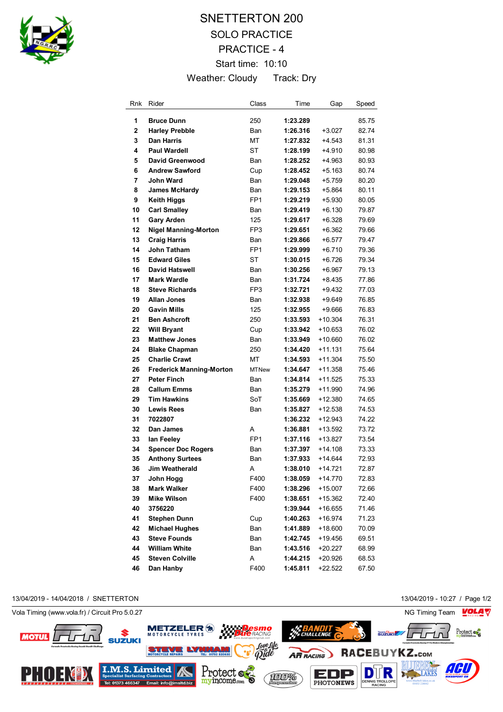

# SNETTERTON 200 SOLO PRACTICE PRACTICE - 4 Start time: 10:10 Weather: Cloudy Track: Dry

| Rnk | Rider                           | Class           | Time     | Gap       | Speed |
|-----|---------------------------------|-----------------|----------|-----------|-------|
| 1   | <b>Bruce Dunn</b>               | 250             | 1:23.289 |           | 85.75 |
| 2   | <b>Harley Prebble</b>           | Ban             | 1:26.316 | $+3.027$  | 82.74 |
| 3   | <b>Dan Harris</b>               | MT              | 1:27.832 | $+4.543$  | 81.31 |
| 4   | Paul Wardell                    | ST              | 1:28.199 | +4.910    | 80.98 |
| 5   | David Greenwood                 | Ban             | 1:28.252 | +4.963    | 80.93 |
| 6   | <b>Andrew Sawford</b>           | Cup             | 1:28.452 | $+5.163$  | 80.74 |
| 7   | <b>John Ward</b>                | Ban             | 1:29.048 | +5.759    | 80.20 |
| 8   | <b>James McHardy</b>            | <b>Ban</b>      | 1:29.153 | $+5.864$  | 80.11 |
| 9   | <b>Keith Higgs</b>              | FP <sub>1</sub> | 1:29.219 | +5.930    | 80.05 |
| 10  | <b>Carl Smalley</b>             | Ban             | 1:29.419 | $+6.130$  | 79.87 |
| 11  | <b>Gary Arden</b>               | 125             | 1:29.617 | +6.328    | 79.69 |
| 12  | <b>Nigel Manning-Morton</b>     | FP <sub>3</sub> | 1:29.651 | $+6.362$  | 79.66 |
| 13  | <b>Craig Harris</b>             | Ban             | 1:29.866 | $+6.577$  | 79.47 |
| 14  | <b>John Tatham</b>              | FP <sub>1</sub> | 1:29.999 | $+6.710$  | 79.36 |
| 15  | <b>Edward Giles</b>             | ST              | 1:30.015 | $+6.726$  | 79.34 |
| 16  | <b>David Hatswell</b>           | Ban             | 1:30.256 | +6.967    | 79.13 |
| 17  | <b>Mark Wardle</b>              | <b>Ban</b>      | 1:31.724 | +8.435    | 77.86 |
| 18  | <b>Steve Richards</b>           | FP <sub>3</sub> | 1:32.721 | +9.432    | 77.03 |
| 19  | <b>Allan Jones</b>              | Ban             | 1:32.938 | $+9.649$  | 76.85 |
| 20  | <b>Gavin Mills</b>              | 125             | 1:32.955 | $+9.666$  | 76.83 |
| 21  | <b>Ben Ashcroft</b>             | 250             | 1:33.593 | $+10.304$ | 76.31 |
| 22  | <b>Will Bryant</b>              | Cup             | 1:33.942 | +10.653   | 76.02 |
| 23  | <b>Matthew Jones</b>            | Ban             | 1:33.949 | +10.660   | 76.02 |
| 24  | <b>Blake Chapman</b>            | 250             | 1:34.420 | +11.131   | 75.64 |
| 25  | <b>Charlie Crawt</b>            | МT              | 1:34.593 | $+11.304$ | 75.50 |
| 26  | <b>Frederick Manning-Morton</b> | <b>MTNew</b>    | 1:34.647 | $+11.358$ | 75.46 |
| 27  | <b>Peter Finch</b>              | Ban             | 1:34.814 | $+11.525$ | 75.33 |
| 28  | <b>Callum Emms</b>              | Ban             | 1:35.279 | $+11.990$ | 74.96 |
| 29  | <b>Tim Hawkins</b>              | SoT             | 1:35.669 | +12.380   | 74.65 |
| 30  | <b>Lewis Rees</b>               | Ban             | 1:35.827 | +12.538   | 74.53 |
| 31  | 7022807                         |                 | 1:36.232 | +12.943   | 74.22 |
| 32  | Dan James                       | A               | 1:36.881 | $+13.592$ | 73.72 |
| 33  | lan Feeley                      | FP <sub>1</sub> | 1:37.116 | $+13.827$ | 73.54 |
| 34  | <b>Spencer Doc Rogers</b>       | Ban             | 1:37.397 | $+14.108$ | 73.33 |
| 35  | <b>Anthony Surtees</b>          | Ban             | 1:37.933 | +14.644   | 72.93 |
| 36  | <b>Jim Weatherald</b>           | A               | 1:38.010 | +14.721   | 72.87 |
| 37  | John Hogg                       | F400            | 1:38.059 | +14.770   | 72.83 |
| 38  | <b>Mark Walker</b>              | F400            | 1:38.296 | +15.007   | 72.66 |
| 39  | <b>Mike Wilson</b>              | F400            | 1:38.651 | +15.362   | 72.40 |
| 40  | 3756220                         |                 | 1:39.944 | +16.655   | 71.46 |
| 41  | <b>Stephen Dunn</b>             | Cup             | 1:40.263 | $+16.974$ | 71.23 |
| 42  | <b>Michael Hughes</b>           | Ban             | 1:41.889 | +18.600   | 70.09 |
| 43  | <b>Steve Founds</b>             | Ban             | 1:42.745 | $+19.456$ | 69.51 |
| 44  | <b>William White</b>            | Ban             | 1:43.516 | +20.227   | 68.99 |
| 45  | <b>Steven Colville</b>          | Α               | 1:44.215 | +20.926   | 68.53 |
| 46  | Dan Hanby                       | F400            | 1:45.811 | $+22.522$ | 67.50 |

13/04/2019 - 14/04/2018 / SNETTERTON 13/04/2019 - 10:27 / Page 1/2



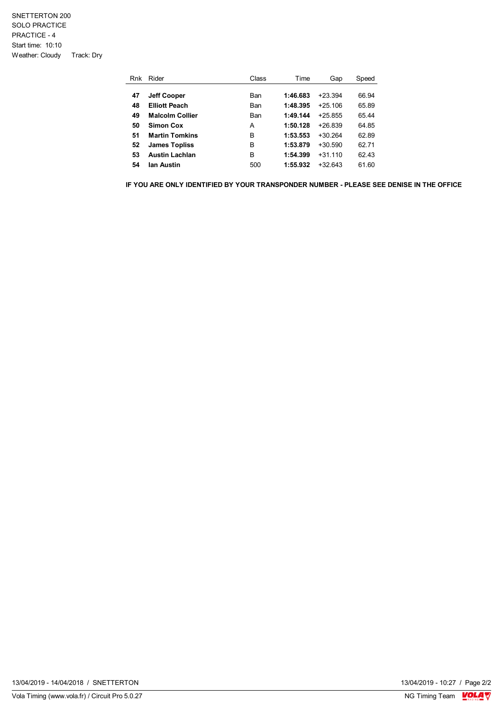### SNETTERTON 200 SOLO PRACTICE PRACTICE - 4 Start time: 10:10 Weather: Cloudy Track: Dry

| Rnk | Rider                  | Class | Time     | Gap       | Speed |
|-----|------------------------|-------|----------|-----------|-------|
|     |                        |       |          |           |       |
| 47  | <b>Jeff Cooper</b>     | Ban   | 1:46.683 | $+23.394$ | 66.94 |
| 48  | <b>Elliott Peach</b>   | Ban   | 1:48.395 | $+25,106$ | 65.89 |
| 49  | <b>Malcolm Collier</b> | Ban   | 1:49.144 | $+25855$  | 65.44 |
| 50  | Simon Cox              | A     | 1:50.128 | $+26839$  | 64.85 |
| 51  | <b>Martin Tomkins</b>  | в     | 1:53.553 | $+30.264$ | 62.89 |
| 52  | <b>James Topliss</b>   | в     | 1:53.879 | $+30.590$ | 62.71 |
| 53  | <b>Austin Lachlan</b>  | B     | 1:54.399 | $+31110$  | 62.43 |
| 54  | lan Austin             | 500   | 1:55.932 | $+32643$  | 61.60 |

**IF YOU ARE ONLY IDENTIFIED BY YOUR TRANSPONDER NUMBER - PLEASE SEE DENISE IN THE OFFICE**

13/04/2019 - 10:27 / Page 2/2<br>NG Timing Team  $\sqrt{\frac{1}{2}}$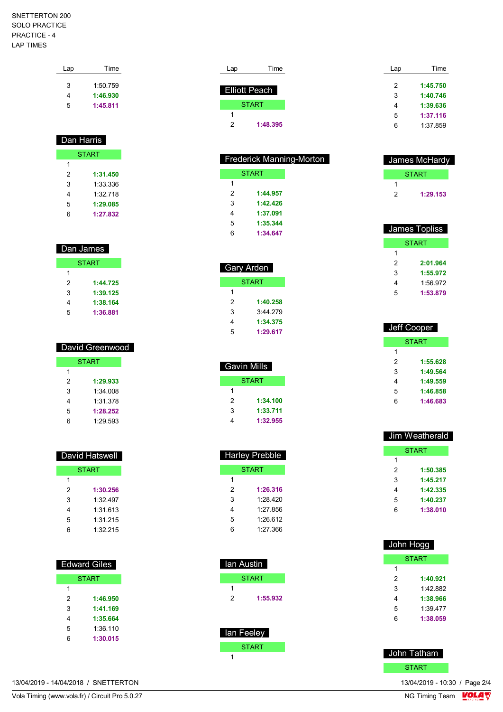## SNETTERTON 200 SOLO PRACTICE PRACTICE - 4 LAP TIMES

| Lap | Time     |
|-----|----------|
| 3   | 1:50.759 |
| 4   | 1:46.930 |
| 5   | 1:45.811 |

| Dan Harris   |          |  |
|--------------|----------|--|
| <b>START</b> |          |  |
| 1            |          |  |
| 2            | 1:31.450 |  |
| 3            | 1:33.336 |  |
| 4            | 1:32 718 |  |
| 5            | 1:29.085 |  |
| 6            | 1:27.832 |  |

| Dan James    |          |  |
|--------------|----------|--|
| <b>START</b> |          |  |
| 1            |          |  |
| 2            | 1:44.725 |  |
| 3            | 1:39.125 |  |
| 4            | 1:38.164 |  |
| 5            | 1:36.881 |  |

| David Greenwood |              |  |
|-----------------|--------------|--|
|                 | <b>START</b> |  |
| 1               |              |  |
| 2               | 1:29.933     |  |
| 3               | 1.34008      |  |
| 4               | 1:31.378     |  |
| 5               | 1:28.252     |  |
| ჩ               | 1:29.593     |  |

| <b>David Hatswell</b> |          |  |
|-----------------------|----------|--|
| <b>START</b>          |          |  |
| 1                     |          |  |
| 2                     | 1:30.256 |  |
| 3                     | 1:32 497 |  |
| 4                     | 1:31.613 |  |
| 5                     | 1:31.215 |  |
| 6                     | 1:32 215 |  |

| <b>Edward Giles</b> |          |  |
|---------------------|----------|--|
| <b>START</b>        |          |  |
| 1                   |          |  |
| 2                   | 1:46.950 |  |
| 3                   | 1:41.169 |  |
| 4                   | 1:35.664 |  |
| 5                   | 1:36.110 |  |
| 6                   | 1:30.015 |  |
|                     |          |  |

|   | <b>Elliott Peach</b> |
|---|----------------------|
|   | <b>START</b>         |
|   |                      |
| 2 | 1:48.395             |
|   |                      |

Lap Time

| <b>Frederick Manning-Morton</b> |          |  |
|---------------------------------|----------|--|
|                                 | START    |  |
| 1                               |          |  |
| $\mathcal{P}$                   | 1:44.957 |  |
| 3                               | 1:42.426 |  |
| 4                               | 1:37.091 |  |
| 5                               | 1:35.344 |  |
| 6                               | 1:34.647 |  |
|                                 |          |  |

| Gary Arden |          |  |
|------------|----------|--|
| START      |          |  |
| 1          |          |  |
| 2          | 1:40.258 |  |
| 3          | 3:44 279 |  |
| 4          | 1:34.375 |  |
| 5          | 1:29.617 |  |

| Gavin Mills |          |  |
|-------------|----------|--|
| START       |          |  |
| 1           |          |  |
| 2           | 1:34.100 |  |
| 3           | 1:33.711 |  |
|             | 1:32.955 |  |

| <b>Harley Prebble</b> |          |  |
|-----------------------|----------|--|
| START                 |          |  |
| 1                     |          |  |
| 2                     | 1:26.316 |  |
| 3                     | 1.28.420 |  |
| 4                     | 1.27856  |  |
| 5                     | 1.26.612 |  |
| 6                     | 1.27.366 |  |
|                       |          |  |

| lan Austin |              |  |
|------------|--------------|--|
|            | <b>START</b> |  |
| 1          |              |  |
| 2          | 1:55.932     |  |
|            |              |  |
|            |              |  |
| lan Feeley |              |  |
|            | <b>START</b> |  |

 $\overline{1}$ 

| Lap | Time     |
|-----|----------|
| 2   | 1:45.750 |
| 3   | 1:40.746 |
| 4   | 1:39.636 |
| 5   | 1:37.116 |
| 6   | 1:37 859 |

|   | James McHardy |
|---|---------------|
|   | <b>START</b>  |
|   |               |
| 2 | 1:29.153      |

| James Topliss |          |  |
|---------------|----------|--|
| START         |          |  |
| 1             |          |  |
| 2             | 2:01.964 |  |
| 3             | 1:55.972 |  |
| 4             | 1:56.972 |  |
| 5             | 1:53.879 |  |

|       | Jeff Cooper |  |
|-------|-------------|--|
| START |             |  |
| 1     |             |  |
| 2     | 1:55.628    |  |
| 3     | 1:49.564    |  |
| 4     | 1:49.559    |  |
| 5     | 1:46.858    |  |
| 6     | 1:46.683    |  |
|       |             |  |

| Jim Weatherald |          |  |
|----------------|----------|--|
| <b>START</b>   |          |  |
| 1              |          |  |
| 2              | 1:50.385 |  |
| 3              | 1:45.217 |  |
| 4              | 1:42.335 |  |
| 5              | 1:40.237 |  |
| 6              | 1:38.010 |  |
|                |          |  |

| John Hogg    |          |  |
|--------------|----------|--|
| <b>START</b> |          |  |
| 1            |          |  |
| 2            | 1:40.921 |  |
| 3            | 1:42.882 |  |
| 4            | 1:38.966 |  |
| 5            | 1:39.477 |  |
| 6            | 1:38.059 |  |



13/04/2019 - 14/04/2018 / SNETTERTON

Vola Timing (www.vola.fr) / Circuit Pro 5.0.27

13/04/2019 - 10:30 / Page 2/4<br>NG Timing Team  $\frac{\text{VOLA}}{\text{Ncans}}$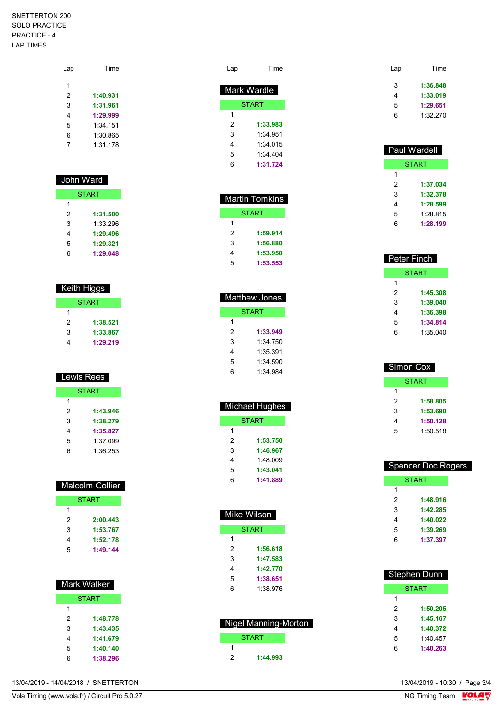## SNETTERTON 200 SOLO PRACTICE PRACTICE - 4 LAP TIMES

| Lap | Time     |  |
|-----|----------|--|
|     |          |  |
| 1   |          |  |
| 2   | 1:40.931 |  |
| 3   | 1:31.961 |  |
| 4   | 1:29.999 |  |
| 5   | 1:34 151 |  |
| 6   | 1:30.865 |  |
| 7   | 1:31.178 |  |
|     |          |  |

# John Ward START

|   | .        |
|---|----------|
| 1 |          |
| 2 | 1:31.500 |
| 3 | 1:33 296 |
| 4 | 1:29.496 |
| 5 | 1:29.321 |
| հ | 1:29.048 |

| Keith Higgs  |          |  |
|--------------|----------|--|
| <b>START</b> |          |  |
| 1            |          |  |
| 2            | 1:38.521 |  |
| 3            | 1:33.867 |  |
|              | 1:29.219 |  |

| Lewis Rees   |          |  |
|--------------|----------|--|
| <b>START</b> |          |  |
| 1            |          |  |
| 2            | 1:43.946 |  |
| 3            | 1:38.279 |  |
| 4            | 1:35.827 |  |
| 5            | 1:37.099 |  |
| 6            | 1:36.253 |  |

|   | Malcolm Collier |
|---|-----------------|
|   | <b>START</b>    |
| 1 |                 |
| 2 | 2:00.443        |
| 3 | 1:53.767        |
| 4 | 1:52.178        |
| 5 | 1:49.144        |

|   | Mark Walker  |
|---|--------------|
|   | <b>START</b> |
| 1 |              |
| 2 | 1:48.778     |
| 3 | 1:43.435     |
| 4 | 1:41.679     |
| 5 | 1:40.140     |
| հ | 1:38.296     |

| Lap | Time         |
|-----|--------------|
|     | Mark Wardle  |
|     |              |
|     | <b>START</b> |
| 1   |              |
| 2   | 1:33.983     |
| 3   | 1:34.951     |
| 4   | 1:34 015     |
| 5   | 1:34 404     |
| 6   | 1:31.724     |
|     |              |

|   | <b>Martin Tomkins</b> |
|---|-----------------------|
|   | START                 |
| 1 |                       |
| 2 | 1:59.914              |
| 3 | 1:56.880              |
| 4 | 1:53.950              |
| 5 | 1:53.553              |

| <b>Matthew Jones</b> |          |
|----------------------|----------|
|                      | START    |
| 1                    |          |
| 2                    | 1:33.949 |
| 3                    | 1:34 750 |
| 4                    | 1:35 391 |
| 5                    | 1:34.590 |
| հ                    | 1:34 984 |

| Michael Hughes |  |
|----------------|--|
| <b>START</b>   |  |
|                |  |
| 1:53.750       |  |
| 1:46.967       |  |
| 1:48 009       |  |
| 1:43.041       |  |
| 1:41.889       |  |
|                |  |

| Mike Wilson |              |
|-------------|--------------|
|             | <b>START</b> |
| 1           |              |
| 2           | 1:56.618     |
| 3           | 1:47.583     |
| 4           | 1:42.770     |
| 5           | 1:38.651     |
| 6           | 1:38.976     |
|             |              |

| <b>Nigel Manning-Morton</b> |  |
|-----------------------------|--|
| <b>START</b>                |  |
|                             |  |
| 1:44.993                    |  |

| Lap | Time     |
|-----|----------|
| 3   | 1:36.848 |
| 4   | 1:33.019 |
| 5   | 1:29.651 |
| 6   | 1:32.270 |
|     |          |

| Paul Wardell |          |
|--------------|----------|
|              | START    |
| 1            |          |
| 2            | 1:37.034 |
| 3            | 1:32.378 |
| 4            | 1:28.599 |
| 5            | 1:28.815 |
| 6            | 1:28.199 |

| <b>Peter Finch</b> |          |
|--------------------|----------|
| START              |          |
| 1                  |          |
| 2                  | 1:45.308 |
| 3                  | 1:39.040 |
| 4                  | 1:36.398 |
| 5                  | 1:34.814 |
| 6                  | 1:35.040 |

| Simon Cox    |  |
|--------------|--|
| <b>START</b> |  |
|              |  |
| 1:58.805     |  |
| 1:53.690     |  |
| 1:50.128     |  |
| 1:50.518     |  |
|              |  |

| <b>Spencer Doc Rogers</b> |          |
|---------------------------|----------|
| START                     |          |
| 1                         |          |
| 2                         | 1:48.916 |
| 3                         | 1:42.285 |
| 4                         | 1:40.022 |
| 5                         | 1:39.269 |
| հ                         | 1:37.397 |
|                           |          |

| Stephen Dunn |          |
|--------------|----------|
|              | START    |
| 1            |          |
| 2            | 1:50.205 |
| 3            | 1:45.167 |
| 4            | 1:40.372 |
| 5            | 1:40 457 |
| 6            | 1:40.263 |